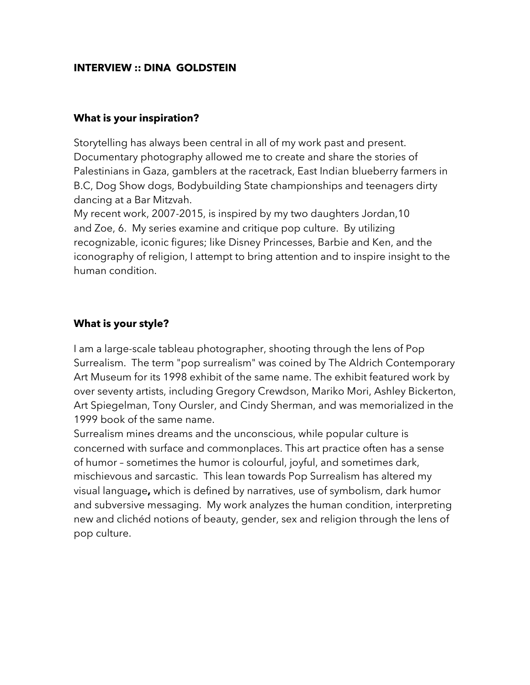## **INTERVIEW :: DINA GOLDSTEIN**

#### **What is your inspiration?**

Storytelling has always been central in all of my work past and present. Documentary photography allowed me to create and share the stories of Palestinians in Gaza, gamblers at the racetrack, East Indian blueberry farmers in B.C, Dog Show dogs, Bodybuilding State championships and teenagers dirty dancing at a Bar Mitzvah.

My recent work, 2007-2015, is inspired by my two daughters Jordan,10 and Zoe, 6. My series examine and critique pop culture. By utilizing recognizable, iconic figures; like Disney Princesses, Barbie and Ken, and the iconography of religion, I attempt to bring attention and to inspire insight to the human condition.

#### **What is your style?**

I am a large-scale tableau photographer, shooting through the lens of Pop Surrealism. The term "pop surrealism" was coined by The Aldrich Contemporary Art Museum for its 1998 exhibit of the same name. The exhibit featured work by over seventy artists, including Gregory Crewdson, Mariko Mori, Ashley Bickerton, Art Spiegelman, Tony Oursler, and Cindy Sherman, and was memorialized in the 1999 book of the same name.

Surrealism mines dreams and the unconscious, while popular culture is concerned with surface and commonplaces. This art practice often has a sense of humor – sometimes the humor is colourful, joyful, and sometimes dark, mischievous and sarcastic. This lean towards Pop Surrealism has altered my visual language**,** which is defined by narratives, use of symbolism, dark humor and subversive messaging. My work analyzes the human condition, interpreting new and clichéd notions of beauty, gender, sex and religion through the lens of pop culture.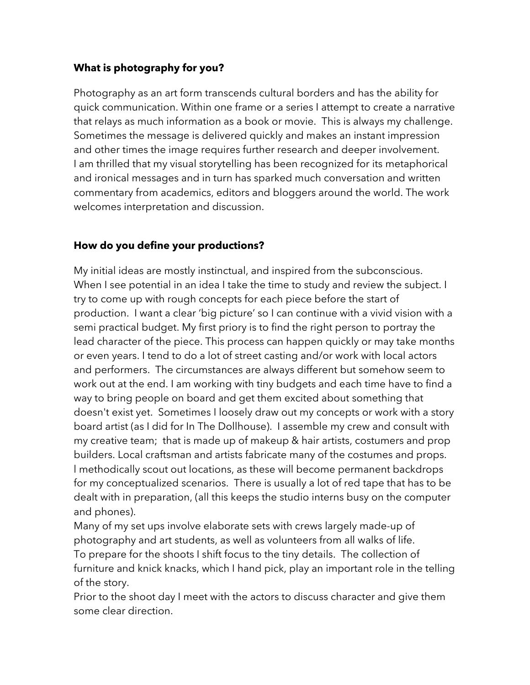# **What is photography for you?**

Photography as an art form transcends cultural borders and has the ability for quick communication. Within one frame or a series I attempt to create a narrative that relays as much information as a book or movie. This is always my challenge. Sometimes the message is delivered quickly and makes an instant impression and other times the image requires further research and deeper involvement. I am thrilled that my visual storytelling has been recognized for its metaphorical and ironical messages and in turn has sparked much conversation and written commentary from academics, editors and bloggers around the world. The work welcomes interpretation and discussion.

## **How do you define your productions?**

My initial ideas are mostly instinctual, and inspired from the subconscious. When I see potential in an idea I take the time to study and review the subject. I try to come up with rough concepts for each piece before the start of production. I want a clear 'big picture' so I can continue with a vivid vision with a semi practical budget. My first priory is to find the right person to portray the lead character of the piece. This process can happen quickly or may take months or even years. I tend to do a lot of street casting and/or work with local actors and performers. The circumstances are always different but somehow seem to work out at the end. I am working with tiny budgets and each time have to find a way to bring people on board and get them excited about something that doesn't exist yet. Sometimes I loosely draw out my concepts or work with a story board artist (as I did for In The Dollhouse). I assemble my crew and consult with my creative team; that is made up of makeup & hair artists, costumers and prop builders. Local craftsman and artists fabricate many of the costumes and props. l methodically scout out locations, as these will become permanent backdrops for my conceptualized scenarios. There is usually a lot of red tape that has to be dealt with in preparation, (all this keeps the studio interns busy on the computer and phones).

Many of my set ups involve elaborate sets with crews largely made-up of photography and art students, as well as volunteers from all walks of life. To prepare for the shoots I shift focus to the tiny details. The collection of furniture and knick knacks, which I hand pick, play an important role in the telling of the story.

Prior to the shoot day I meet with the actors to discuss character and give them some clear direction.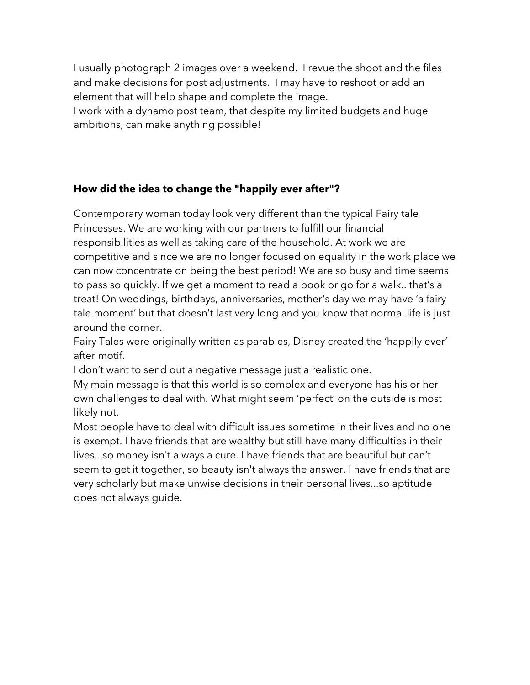I usually photograph 2 images over a weekend. I revue the shoot and the files and make decisions for post adjustments. I may have to reshoot or add an element that will help shape and complete the image.

I work with a dynamo post team, that despite my limited budgets and huge ambitions, can make anything possible!

# **How did the idea to change the "happily ever after"?**

Contemporary woman today look very different than the typical Fairy tale Princesses. We are working with our partners to fulfill our financial responsibilities as well as taking care of the household. At work we are competitive and since we are no longer focused on equality in the work place we can now concentrate on being the best period! We are so busy and time seems to pass so quickly. If we get a moment to read a book or go for a walk.. that's a treat! On weddings, birthdays, anniversaries, mother's day we may have 'a fairy tale moment' but that doesn't last very long and you know that normal life is just around the corner.

Fairy Tales were originally written as parables, Disney created the 'happily ever' after motif.

I don't want to send out a negative message just a realistic one.

My main message is that this world is so complex and everyone has his or her own challenges to deal with. What might seem 'perfect' on the outside is most likely not.

Most people have to deal with difficult issues sometime in their lives and no one is exempt. I have friends that are wealthy but still have many difficulties in their lives...so money isn't always a cure. I have friends that are beautiful but can't seem to get it together, so beauty isn't always the answer. I have friends that are very scholarly but make unwise decisions in their personal lives...so aptitude does not always guide.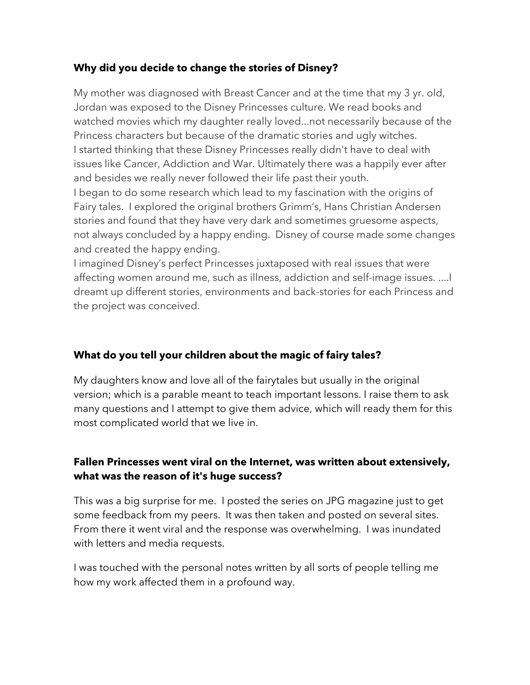## **Why did you decide to change the stories of Disney?**

My mother was diagnosed with Breast Cancer and at the time that my 3 yr. old, Jordan was exposed to the Disney Princesses culture. We read books and watched movies which my daughter really loved...not necessarily because of the Princess characters but because of the dramatic stories and ugly witches. I started thinking that these Disney Princesses really didn't have to deal with issues like Cancer, Addiction and War. Ultimately there was a happily ever after and besides we really never followed their life past their youth.

I began to do some research which lead to my fascination with the origins of Fairy tales. I explored the original brothers Grimm's, Hans Christian Andersen stories and found that they have very dark and sometimes gruesome aspects, not always concluded by a happy ending. Disney of course made some changes and created the happy ending.

I imagined Disney's perfect Princesses juxtaposed with real issues that were affecting women around me, such as illness, addiction and self-image issues. ....I dreamt up different stories, environments and back-stories for each Princess and the project was conceived.

#### **What do you tell your children about the magic of fairy tales?**

My daughters know and love all of the fairytales but usually in the original version; which is a parable meant to teach important lessons. I raise them to ask many questions and I attempt to give them advice, which will ready them for this most complicated world that we live in.

# **Fallen Princesses went viral on the Internet, was written about extensively, what was the reason of it's huge success?**

This was a big surprise for me. I posted the series on JPG magazine just to get some feedback from my peers. It was then taken and posted on several sites. From there it went viral and the response was overwhelming. I was inundated with letters and media requests.

I was touched with the personal notes written by all sorts of people telling me how my work affected them in a profound way.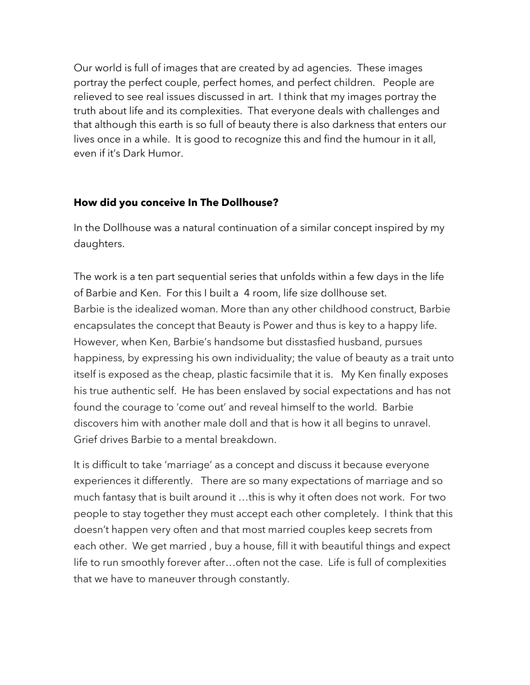Our world is full of images that are created by ad agencies. These images portray the perfect couple, perfect homes, and perfect children. People are relieved to see real issues discussed in art. I think that my images portray the truth about life and its complexities. That everyone deals with challenges and that although this earth is so full of beauty there is also darkness that enters our lives once in a while. It is good to recognize this and find the humour in it all, even if it's Dark Humor.

## **How did you conceive In The Dollhouse?**

In the Dollhouse was a natural continuation of a similar concept inspired by my daughters.

The work is a ten part sequential series that unfolds within a few days in the life of Barbie and Ken. For this I built a 4 room, life size dollhouse set. Barbie is the idealized woman. More than any other childhood construct, Barbie encapsulates the concept that Beauty is Power and thus is key to a happy life. However, when Ken, Barbie's handsome but disstasfied husband, pursues happiness, by expressing his own individuality; the value of beauty as a trait unto itself is exposed as the cheap, plastic facsimile that it is. My Ken finally exposes his true authentic self. He has been enslaved by social expectations and has not found the courage to 'come out' and reveal himself to the world. Barbie discovers him with another male doll and that is how it all begins to unravel. Grief drives Barbie to a mental breakdown.

It is difficult to take 'marriage' as a concept and discuss it because everyone experiences it differently. There are so many expectations of marriage and so much fantasy that is built around it …this is why it often does not work. For two people to stay together they must accept each other completely. I think that this doesn't happen very often and that most married couples keep secrets from each other. We get married , buy a house, fill it with beautiful things and expect life to run smoothly forever after…often not the case. Life is full of complexities that we have to maneuver through constantly.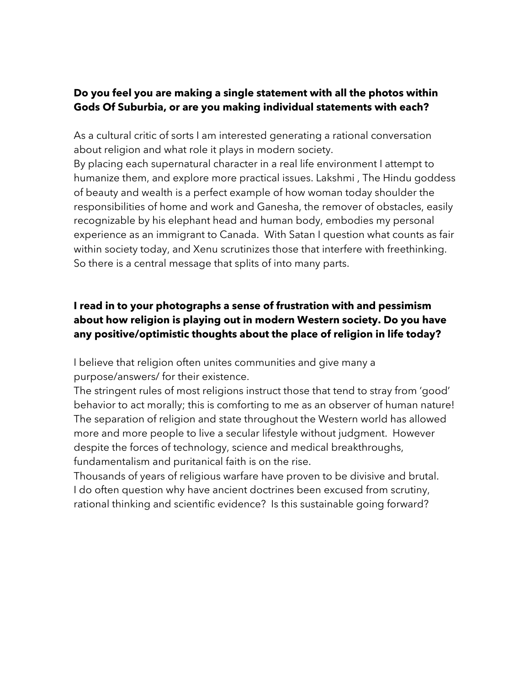# **Do you feel you are making a single statement with all the photos within Gods Of Suburbia, or are you making individual statements with each?**

As a cultural critic of sorts I am interested generating a rational conversation about religion and what role it plays in modern society. By placing each supernatural character in a real life environment I attempt to humanize them, and explore more practical issues. Lakshmi , The Hindu goddess of beauty and wealth is a perfect example of how woman today shoulder the responsibilities of home and work and Ganesha, the remover of obstacles, easily recognizable by his elephant head and human body, embodies my personal experience as an immigrant to Canada. With Satan I question what counts as fair within society today, and Xenu scrutinizes those that interfere with freethinking.

So there is a central message that splits of into many parts.

# **I read in to your photographs a sense of frustration with and pessimism about how religion is playing out in modern Western society. Do you have any positive/optimistic thoughts about the place of religion in life today?**

I believe that religion often unites communities and give many a purpose/answers/ for their existence.

The stringent rules of most religions instruct those that tend to stray from 'good' behavior to act morally; this is comforting to me as an observer of human nature! The separation of religion and state throughout the Western world has allowed more and more people to live a secular lifestyle without judgment. However despite the forces of technology, science and medical breakthroughs, fundamentalism and puritanical faith is on the rise.

Thousands of years of religious warfare have proven to be divisive and brutal. I do often question why have ancient doctrines been excused from scrutiny, rational thinking and scientific evidence? Is this sustainable going forward?